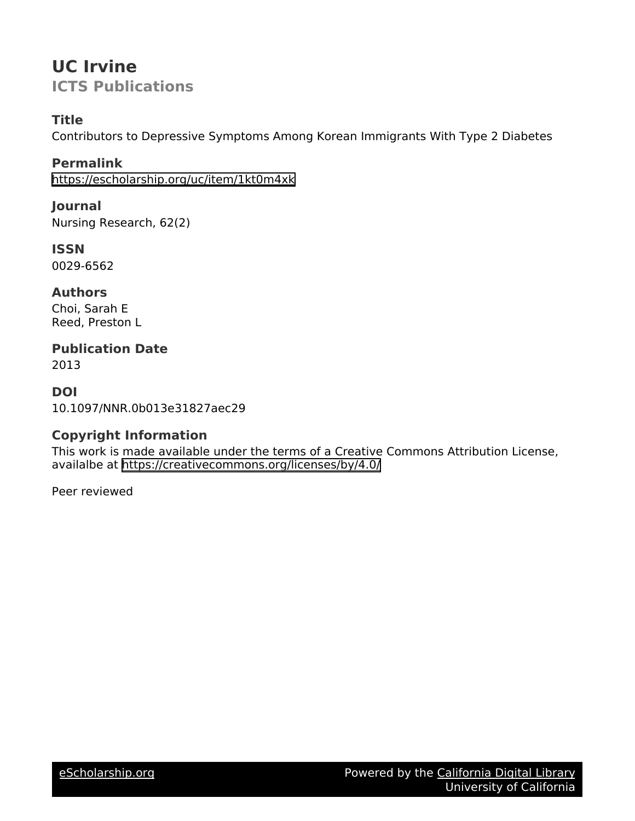# **UC Irvine ICTS Publications**

# **Title**

Contributors to Depressive Symptoms Among Korean Immigrants With Type 2 Diabetes

# **Permalink**

<https://escholarship.org/uc/item/1kt0m4xk>

# **Journal**

Nursing Research, 62(2)

# **ISSN**

0029-6562

# **Authors**

Choi, Sarah E Reed, Preston L

# **Publication Date**

2013

# **DOI**

10.1097/NNR.0b013e31827aec29

# **Copyright Information**

This work is made available under the terms of a Creative Commons Attribution License, availalbe at <https://creativecommons.org/licenses/by/4.0/>

Peer reviewed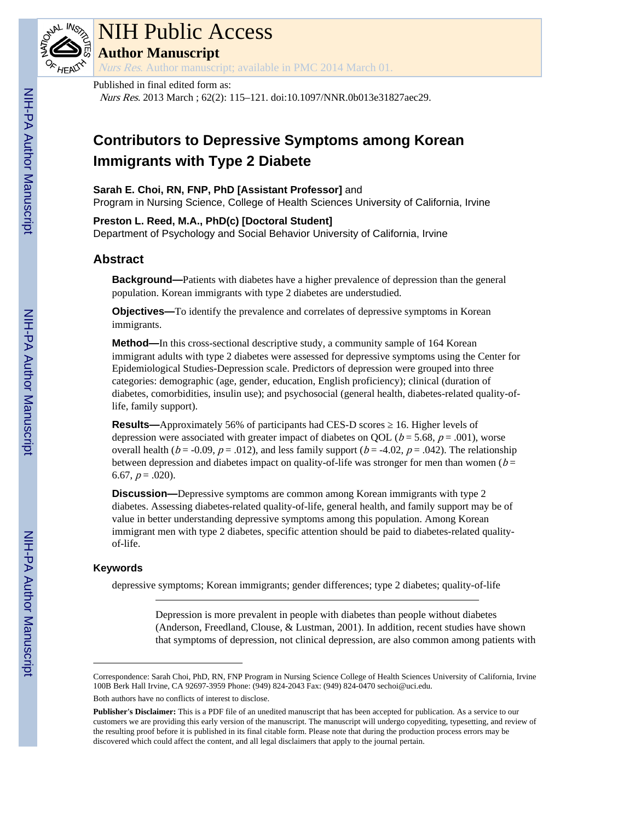

# NIH Public Access

**Author Manuscript**

Nurs Res. Author manuscript; available in PMC 2014 March 01.

## Published in final edited form as:

Nurs Res. 2013 March ; 62(2): 115–121. doi:10.1097/NNR.0b013e31827aec29.

# **Contributors to Depressive Symptoms among Korean Immigrants with Type 2 Diabete**

## **Sarah E. Choi, RN, FNP, PhD [Assistant Professor]** and

Program in Nursing Science, College of Health Sciences University of California, Irvine

## **Preston L. Reed, M.A., PhD(c) [Doctoral Student]**

Department of Psychology and Social Behavior University of California, Irvine

# **Abstract**

**Background—**Patients with diabetes have a higher prevalence of depression than the general population. Korean immigrants with type 2 diabetes are understudied.

**Objectives—**To identify the prevalence and correlates of depressive symptoms in Korean immigrants.

**Method—**In this cross-sectional descriptive study, a community sample of 164 Korean immigrant adults with type 2 diabetes were assessed for depressive symptoms using the Center for Epidemiological Studies-Depression scale. Predictors of depression were grouped into three categories: demographic (age, gender, education, English proficiency); clinical (duration of diabetes, comorbidities, insulin use); and psychosocial (general health, diabetes-related quality-oflife, family support).

**Results—**Approximately 56% of participants had CES-D scores 16. Higher levels of depression were associated with greater impact of diabetes on OOL ( $b = 5.68$ ,  $p = .001$ ), worse overall health ( $b = -0.09$ ,  $p = .012$ ), and less family support ( $b = -4.02$ ,  $p = .042$ ). The relationship between depression and diabetes impact on quality-of-life was stronger for men than women ( $b =$ 6.67,  $p = .020$ ).

**Discussion—**Depressive symptoms are common among Korean immigrants with type 2 diabetes. Assessing diabetes-related quality-of-life, general health, and family support may be of value in better understanding depressive symptoms among this population. Among Korean immigrant men with type 2 diabetes, specific attention should be paid to diabetes-related qualityof-life.

## **Keywords**

depressive symptoms; Korean immigrants; gender differences; type 2 diabetes; quality-of-life

Depression is more prevalent in people with diabetes than people without diabetes (Anderson, Freedland, Clouse, & Lustman, 2001). In addition, recent studies have shown that symptoms of depression, not clinical depression, are also common among patients with

Correspondence: Sarah Choi, PhD, RN, FNP Program in Nursing Science College of Health Sciences University of California, Irvine 100B Berk Hall Irvine, CA 92697-3959 Phone: (949) 824-2043 Fax: (949) 824-0470 sechoi@uci.edu.

Both authors have no conflicts of interest to disclose.

**Publisher's Disclaimer:** This is a PDF file of an unedited manuscript that has been accepted for publication. As a service to our customers we are providing this early version of the manuscript. The manuscript will undergo copyediting, typesetting, and review of the resulting proof before it is published in its final citable form. Please note that during the production process errors may be discovered which could affect the content, and all legal disclaimers that apply to the journal pertain.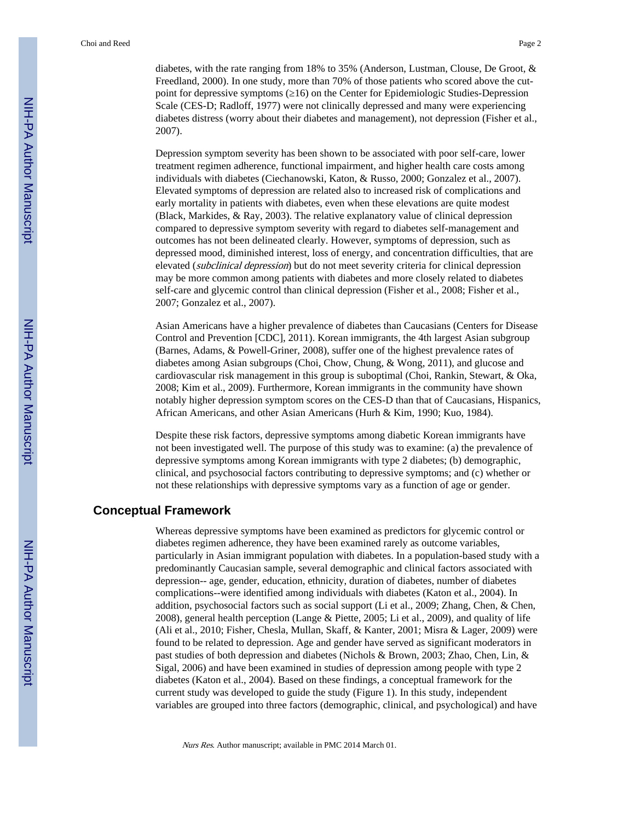diabetes, with the rate ranging from 18% to 35% (Anderson, Lustman, Clouse, De Groot, & Freedland, 2000). In one study, more than 70% of those patients who scored above the cutpoint for depressive symptoms (≥16) on the Center for Epidemiologic Studies-Depression Scale (CES-D; Radloff, 1977) were not clinically depressed and many were experiencing diabetes distress (worry about their diabetes and management), not depression (Fisher et al., 2007).

Depression symptom severity has been shown to be associated with poor self-care, lower treatment regimen adherence, functional impairment, and higher health care costs among individuals with diabetes (Ciechanowski, Katon, & Russo, 2000; Gonzalez et al., 2007). Elevated symptoms of depression are related also to increased risk of complications and early mortality in patients with diabetes, even when these elevations are quite modest (Black, Markides, & Ray, 2003). The relative explanatory value of clinical depression compared to depressive symptom severity with regard to diabetes self-management and outcomes has not been delineated clearly. However, symptoms of depression, such as depressed mood, diminished interest, loss of energy, and concentration difficulties, that are elevated (subclinical depression) but do not meet severity criteria for clinical depression may be more common among patients with diabetes and more closely related to diabetes self-care and glycemic control than clinical depression (Fisher et al., 2008; Fisher et al., 2007; Gonzalez et al., 2007).

Asian Americans have a higher prevalence of diabetes than Caucasians (Centers for Disease Control and Prevention [CDC], 2011). Korean immigrants, the 4th largest Asian subgroup (Barnes, Adams, & Powell-Griner, 2008), suffer one of the highest prevalence rates of diabetes among Asian subgroups (Choi, Chow, Chung, & Wong, 2011), and glucose and cardiovascular risk management in this group is suboptimal (Choi, Rankin, Stewart, & Oka, 2008; Kim et al., 2009). Furthermore, Korean immigrants in the community have shown notably higher depression symptom scores on the CES-D than that of Caucasians, Hispanics, African Americans, and other Asian Americans (Hurh & Kim, 1990; Kuo, 1984).

Despite these risk factors, depressive symptoms among diabetic Korean immigrants have not been investigated well. The purpose of this study was to examine: (a) the prevalence of depressive symptoms among Korean immigrants with type 2 diabetes; (b) demographic, clinical, and psychosocial factors contributing to depressive symptoms; and (c) whether or not these relationships with depressive symptoms vary as a function of age or gender.

## **Conceptual Framework**

Whereas depressive symptoms have been examined as predictors for glycemic control or diabetes regimen adherence, they have been examined rarely as outcome variables, particularly in Asian immigrant population with diabetes. In a population-based study with a predominantly Caucasian sample, several demographic and clinical factors associated with depression-- age, gender, education, ethnicity, duration of diabetes, number of diabetes complications--were identified among individuals with diabetes (Katon et al., 2004). In addition, psychosocial factors such as social support (Li et al., 2009; Zhang, Chen, & Chen, 2008), general health perception (Lange & Piette, 2005; Li et al., 2009), and quality of life (Ali et al., 2010; Fisher, Chesla, Mullan, Skaff, & Kanter, 2001; Misra & Lager, 2009) were found to be related to depression. Age and gender have served as significant moderators in past studies of both depression and diabetes (Nichols & Brown, 2003; Zhao, Chen, Lin, & Sigal, 2006) and have been examined in studies of depression among people with type 2 diabetes (Katon et al., 2004). Based on these findings, a conceptual framework for the current study was developed to guide the study (Figure 1). In this study, independent variables are grouped into three factors (demographic, clinical, and psychological) and have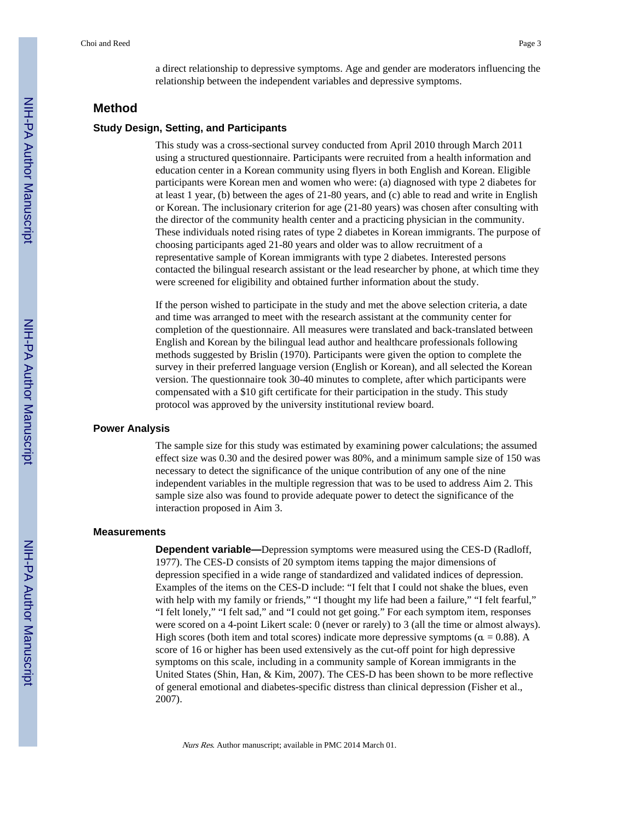a direct relationship to depressive symptoms. Age and gender are moderators influencing the relationship between the independent variables and depressive symptoms.

## **Method**

#### **Study Design, Setting, and Participants**

This study was a cross-sectional survey conducted from April 2010 through March 2011 using a structured questionnaire. Participants were recruited from a health information and education center in a Korean community using flyers in both English and Korean. Eligible participants were Korean men and women who were: (a) diagnosed with type 2 diabetes for at least 1 year, (b) between the ages of 21-80 years, and (c) able to read and write in English or Korean. The inclusionary criterion for age (21-80 years) was chosen after consulting with the director of the community health center and a practicing physician in the community. These individuals noted rising rates of type 2 diabetes in Korean immigrants. The purpose of choosing participants aged 21-80 years and older was to allow recruitment of a representative sample of Korean immigrants with type 2 diabetes. Interested persons contacted the bilingual research assistant or the lead researcher by phone, at which time they were screened for eligibility and obtained further information about the study.

If the person wished to participate in the study and met the above selection criteria, a date and time was arranged to meet with the research assistant at the community center for completion of the questionnaire. All measures were translated and back-translated between English and Korean by the bilingual lead author and healthcare professionals following methods suggested by Brislin (1970). Participants were given the option to complete the survey in their preferred language version (English or Korean), and all selected the Korean version. The questionnaire took 30-40 minutes to complete, after which participants were compensated with a \$10 gift certificate for their participation in the study. This study protocol was approved by the university institutional review board.

#### **Power Analysis**

The sample size for this study was estimated by examining power calculations; the assumed effect size was 0.30 and the desired power was 80%, and a minimum sample size of 150 was necessary to detect the significance of the unique contribution of any one of the nine independent variables in the multiple regression that was to be used to address Aim 2. This sample size also was found to provide adequate power to detect the significance of the interaction proposed in Aim 3.

#### **Measurements**

**Dependent variable—**Depression symptoms were measured using the CES-D (Radloff, 1977). The CES-D consists of 20 symptom items tapping the major dimensions of depression specified in a wide range of standardized and validated indices of depression. Examples of the items on the CES-D include: "I felt that I could not shake the blues, even with help with my family or friends," "I thought my life had been a failure," "I felt fearful," "I felt lonely," "I felt sad," and "I could not get going." For each symptom item, responses were scored on a 4-point Likert scale: 0 (never or rarely) to 3 (all the time or almost always). High scores (both item and total scores) indicate more depressive symptoms ( $\alpha = 0.88$ ). A score of 16 or higher has been used extensively as the cut-off point for high depressive symptoms on this scale, including in a community sample of Korean immigrants in the United States (Shin, Han, & Kim, 2007). The CES-D has been shown to be more reflective of general emotional and diabetes-specific distress than clinical depression (Fisher et al., 2007).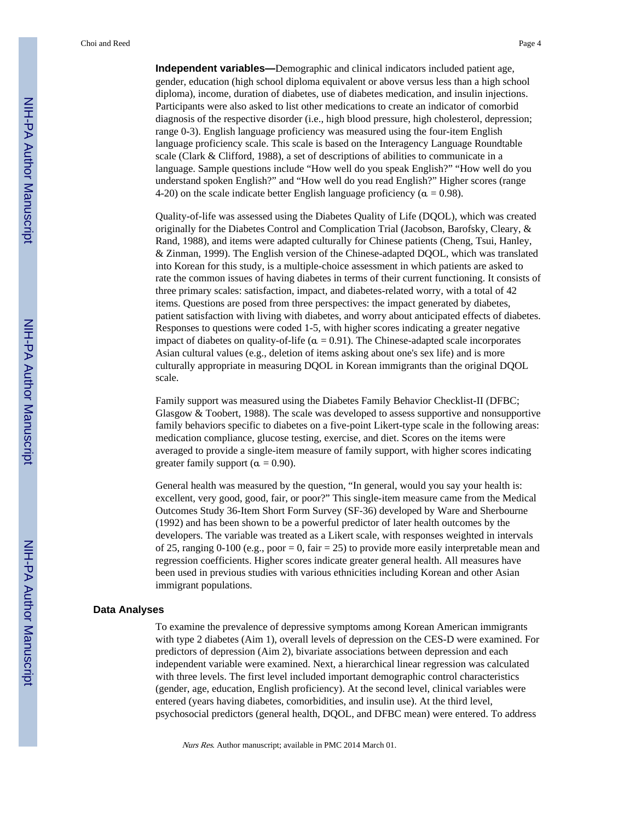Choi and Reed Page 4

**Independent variables—**Demographic and clinical indicators included patient age, gender, education (high school diploma equivalent or above versus less than a high school diploma), income, duration of diabetes, use of diabetes medication, and insulin injections. Participants were also asked to list other medications to create an indicator of comorbid diagnosis of the respective disorder (i.e., high blood pressure, high cholesterol, depression; range 0-3). English language proficiency was measured using the four-item English language proficiency scale. This scale is based on the Interagency Language Roundtable scale (Clark & Clifford, 1988), a set of descriptions of abilities to communicate in a language. Sample questions include "How well do you speak English?" "How well do you understand spoken English?" and "How well do you read English?" Higher scores (range 4-20) on the scale indicate better English language proficiency ( $\alpha = 0.98$ ).

Quality-of-life was assessed using the Diabetes Quality of Life (DQOL), which was created originally for the Diabetes Control and Complication Trial (Jacobson, Barofsky, Cleary, & Rand, 1988), and items were adapted culturally for Chinese patients (Cheng, Tsui, Hanley, & Zinman, 1999). The English version of the Chinese-adapted DQOL, which was translated into Korean for this study, is a multiple-choice assessment in which patients are asked to rate the common issues of having diabetes in terms of their current functioning. It consists of three primary scales: satisfaction, impact, and diabetes-related worry, with a total of 42 items. Questions are posed from three perspectives: the impact generated by diabetes, patient satisfaction with living with diabetes, and worry about anticipated effects of diabetes. Responses to questions were coded 1-5, with higher scores indicating a greater negative impact of diabetes on quality-of-life ( $\alpha = 0.91$ ). The Chinese-adapted scale incorporates Asian cultural values (e.g., deletion of items asking about one's sex life) and is more culturally appropriate in measuring DQOL in Korean immigrants than the original DQOL scale.

Family support was measured using the Diabetes Family Behavior Checklist-II (DFBC; Glasgow & Toobert, 1988). The scale was developed to assess supportive and nonsupportive family behaviors specific to diabetes on a five-point Likert-type scale in the following areas: medication compliance, glucose testing, exercise, and diet. Scores on the items were averaged to provide a single-item measure of family support, with higher scores indicating greater family support ( $\alpha = 0.90$ ).

General health was measured by the question, "In general, would you say your health is: excellent, very good, good, fair, or poor?" This single-item measure came from the Medical Outcomes Study 36-Item Short Form Survey (SF-36) developed by Ware and Sherbourne (1992) and has been shown to be a powerful predictor of later health outcomes by the developers. The variable was treated as a Likert scale, with responses weighted in intervals of 25, ranging 0-100 (e.g., poor = 0, fair = 25) to provide more easily interpretable mean and regression coefficients. Higher scores indicate greater general health. All measures have been used in previous studies with various ethnicities including Korean and other Asian immigrant populations.

#### **Data Analyses**

To examine the prevalence of depressive symptoms among Korean American immigrants with type 2 diabetes (Aim 1), overall levels of depression on the CES-D were examined. For predictors of depression (Aim 2), bivariate associations between depression and each independent variable were examined. Next, a hierarchical linear regression was calculated with three levels. The first level included important demographic control characteristics (gender, age, education, English proficiency). At the second level, clinical variables were entered (years having diabetes, comorbidities, and insulin use). At the third level, psychosocial predictors (general health, DQOL, and DFBC mean) were entered. To address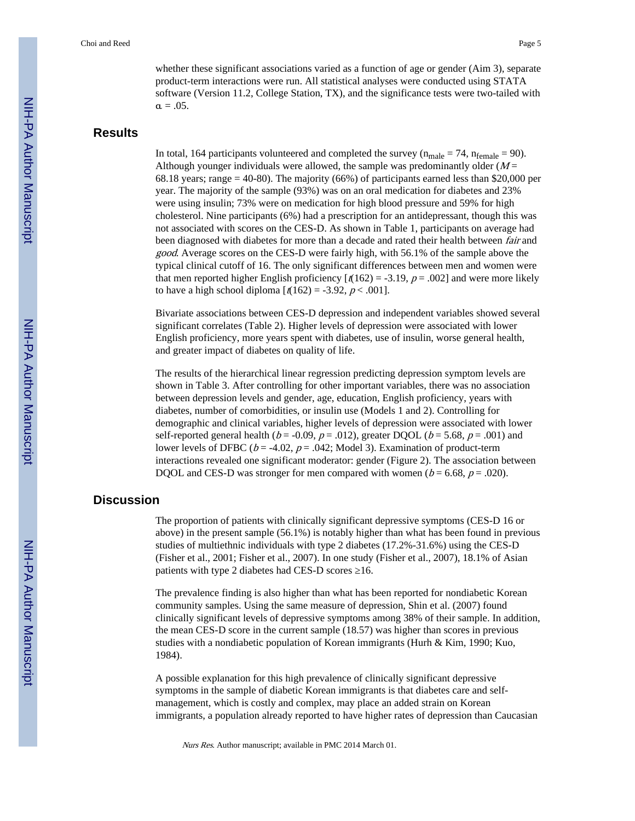whether these significant associations varied as a function of age or gender (Aim 3), separate product-term interactions were run. All statistical analyses were conducted using STATA software (Version 11.2, College Station, TX), and the significance tests were two-tailed with  $\alpha = .05$ .

## **Results**

In total, 164 participants volunteered and completed the survey ( $n_{male} = 74$ ,  $n_{female} = 90$ ). Although younger individuals were allowed, the sample was predominantly older  $(M =$ 68.18 years; range  $=$  40-80). The majority (66%) of participants earned less than \$20,000 per year. The majority of the sample (93%) was on an oral medication for diabetes and 23% were using insulin; 73% were on medication for high blood pressure and 59% for high cholesterol. Nine participants (6%) had a prescription for an antidepressant, though this was not associated with scores on the CES-D. As shown in Table 1, participants on average had been diagnosed with diabetes for more than a decade and rated their health between *fair* and good. Average scores on the CES-D were fairly high, with 56.1% of the sample above the typical clinical cutoff of 16. The only significant differences between men and women were that men reported higher English proficiency  $\left[\frac{r(162)}{2}\right] = -3.19$ ,  $p = .002$  and were more likely to have a high school diploma  $[t(162) = -3.92, p < .001]$ .

Bivariate associations between CES-D depression and independent variables showed several significant correlates (Table 2). Higher levels of depression were associated with lower English proficiency, more years spent with diabetes, use of insulin, worse general health, and greater impact of diabetes on quality of life.

The results of the hierarchical linear regression predicting depression symptom levels are shown in Table 3. After controlling for other important variables, there was no association between depression levels and gender, age, education, English proficiency, years with diabetes, number of comorbidities, or insulin use (Models 1 and 2). Controlling for demographic and clinical variables, higher levels of depression were associated with lower self-reported general health ( $b = -0.09$ ,  $p = .012$ ), greater DQOL ( $b = 5.68$ ,  $p = .001$ ) and lower levels of DFBC ( $b = -4.02$ ,  $p = .042$ ; Model 3). Examination of product-term interactions revealed one significant moderator: gender (Figure 2). The association between DQOL and CES-D was stronger for men compared with women ( $b = 6.68$ ,  $p = .020$ ).

## **Discussion**

The proportion of patients with clinically significant depressive symptoms (CES-D 16 or above) in the present sample (56.1%) is notably higher than what has been found in previous studies of multiethnic individuals with type 2 diabetes (17.2%-31.6%) using the CES-D (Fisher et al., 2001; Fisher et al., 2007). In one study (Fisher et al., 2007), 18.1% of Asian patients with type 2 diabetes had CES-D scores 16.

The prevalence finding is also higher than what has been reported for nondiabetic Korean community samples. Using the same measure of depression, Shin et al. (2007) found clinically significant levels of depressive symptoms among 38% of their sample. In addition, the mean CES-D score in the current sample (18.57) was higher than scores in previous studies with a nondiabetic population of Korean immigrants (Hurh & Kim, 1990; Kuo, 1984).

A possible explanation for this high prevalence of clinically significant depressive symptoms in the sample of diabetic Korean immigrants is that diabetes care and selfmanagement, which is costly and complex, may place an added strain on Korean immigrants, a population already reported to have higher rates of depression than Caucasian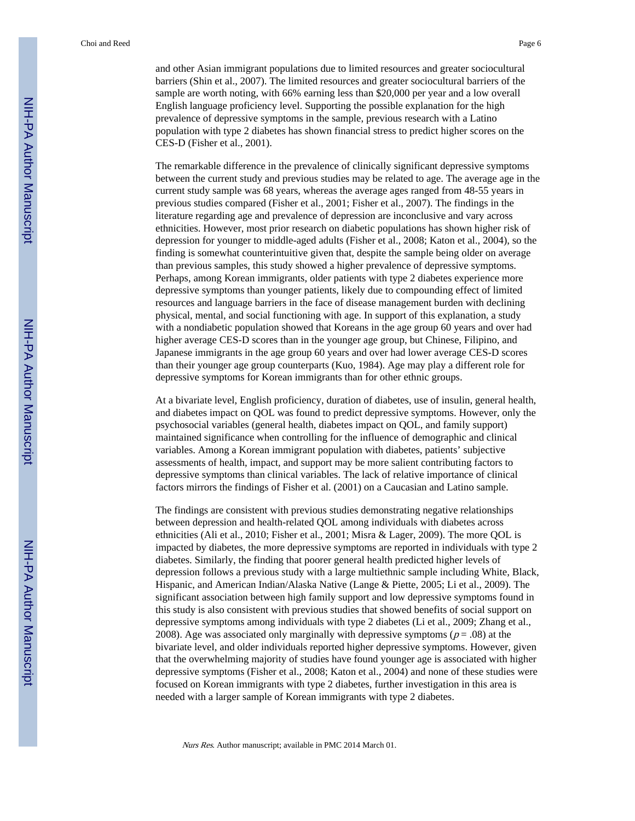Choi and Reed Page 6

and other Asian immigrant populations due to limited resources and greater sociocultural barriers (Shin et al., 2007). The limited resources and greater sociocultural barriers of the sample are worth noting, with 66% earning less than \$20,000 per year and a low overall English language proficiency level. Supporting the possible explanation for the high prevalence of depressive symptoms in the sample, previous research with a Latino population with type 2 diabetes has shown financial stress to predict higher scores on the CES-D (Fisher et al., 2001).

The remarkable difference in the prevalence of clinically significant depressive symptoms between the current study and previous studies may be related to age. The average age in the current study sample was 68 years, whereas the average ages ranged from 48-55 years in previous studies compared (Fisher et al., 2001; Fisher et al., 2007). The findings in the literature regarding age and prevalence of depression are inconclusive and vary across ethnicities. However, most prior research on diabetic populations has shown higher risk of depression for younger to middle-aged adults (Fisher et al., 2008; Katon et al., 2004), so the finding is somewhat counterintuitive given that, despite the sample being older on average than previous samples, this study showed a higher prevalence of depressive symptoms. Perhaps, among Korean immigrants, older patients with type 2 diabetes experience more depressive symptoms than younger patients, likely due to compounding effect of limited resources and language barriers in the face of disease management burden with declining physical, mental, and social functioning with age. In support of this explanation, a study with a nondiabetic population showed that Koreans in the age group 60 years and over had higher average CES-D scores than in the younger age group, but Chinese, Filipino, and Japanese immigrants in the age group 60 years and over had lower average CES-D scores than their younger age group counterparts (Kuo, 1984). Age may play a different role for depressive symptoms for Korean immigrants than for other ethnic groups.

At a bivariate level, English proficiency, duration of diabetes, use of insulin, general health, and diabetes impact on QOL was found to predict depressive symptoms. However, only the psychosocial variables (general health, diabetes impact on QOL, and family support) maintained significance when controlling for the influence of demographic and clinical variables. Among a Korean immigrant population with diabetes, patients' subjective assessments of health, impact, and support may be more salient contributing factors to depressive symptoms than clinical variables. The lack of relative importance of clinical factors mirrors the findings of Fisher et al. (2001) on a Caucasian and Latino sample.

The findings are consistent with previous studies demonstrating negative relationships between depression and health-related QOL among individuals with diabetes across ethnicities (Ali et al., 2010; Fisher et al., 2001; Misra & Lager, 2009). The more QOL is impacted by diabetes, the more depressive symptoms are reported in individuals with type 2 diabetes. Similarly, the finding that poorer general health predicted higher levels of depression follows a previous study with a large multiethnic sample including White, Black, Hispanic, and American Indian/Alaska Native (Lange & Piette, 2005; Li et al., 2009). The significant association between high family support and low depressive symptoms found in this study is also consistent with previous studies that showed benefits of social support on depressive symptoms among individuals with type 2 diabetes (Li et al., 2009; Zhang et al., 2008). Age was associated only marginally with depressive symptoms ( $p = .08$ ) at the bivariate level, and older individuals reported higher depressive symptoms. However, given that the overwhelming majority of studies have found younger age is associated with higher depressive symptoms (Fisher et al., 2008; Katon et al., 2004) and none of these studies were focused on Korean immigrants with type 2 diabetes, further investigation in this area is needed with a larger sample of Korean immigrants with type 2 diabetes.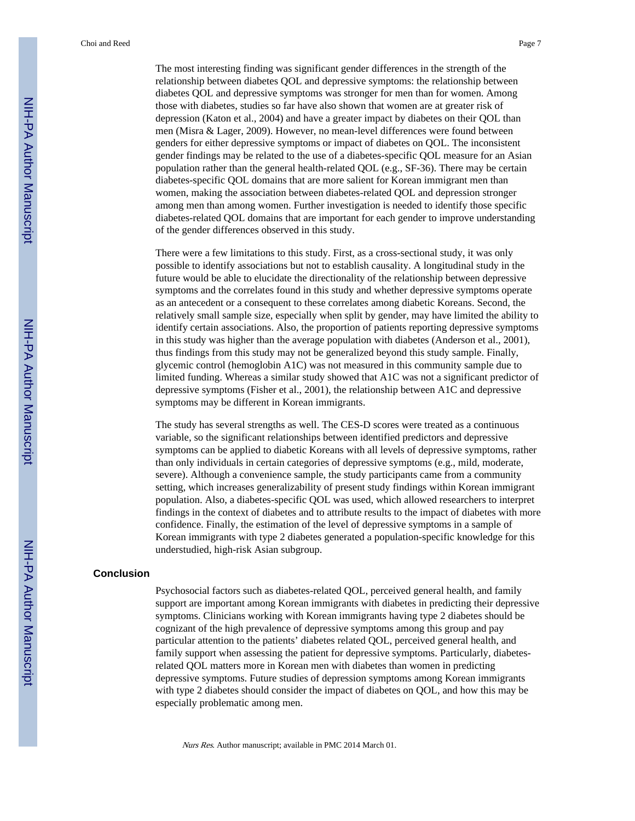Choi and Reed Page 7

The most interesting finding was significant gender differences in the strength of the relationship between diabetes QOL and depressive symptoms: the relationship between diabetes QOL and depressive symptoms was stronger for men than for women. Among those with diabetes, studies so far have also shown that women are at greater risk of depression (Katon et al., 2004) and have a greater impact by diabetes on their QOL than men (Misra & Lager, 2009). However, no mean-level differences were found between genders for either depressive symptoms or impact of diabetes on QOL. The inconsistent gender findings may be related to the use of a diabetes-specific QOL measure for an Asian population rather than the general health-related QOL (e.g., SF-36). There may be certain diabetes-specific QOL domains that are more salient for Korean immigrant men than women, making the association between diabetes-related QOL and depression stronger among men than among women. Further investigation is needed to identify those specific diabetes-related QOL domains that are important for each gender to improve understanding of the gender differences observed in this study.

There were a few limitations to this study. First, as a cross-sectional study, it was only possible to identify associations but not to establish causality. A longitudinal study in the future would be able to elucidate the directionality of the relationship between depressive symptoms and the correlates found in this study and whether depressive symptoms operate as an antecedent or a consequent to these correlates among diabetic Koreans. Second, the relatively small sample size, especially when split by gender, may have limited the ability to identify certain associations. Also, the proportion of patients reporting depressive symptoms in this study was higher than the average population with diabetes (Anderson et al., 2001), thus findings from this study may not be generalized beyond this study sample. Finally, glycemic control (hemoglobin A1C) was not measured in this community sample due to limited funding. Whereas a similar study showed that A1C was not a significant predictor of depressive symptoms (Fisher et al., 2001), the relationship between A1C and depressive symptoms may be different in Korean immigrants.

The study has several strengths as well. The CES-D scores were treated as a continuous variable, so the significant relationships between identified predictors and depressive symptoms can be applied to diabetic Koreans with all levels of depressive symptoms, rather than only individuals in certain categories of depressive symptoms (e.g., mild, moderate, severe). Although a convenience sample, the study participants came from a community setting, which increases generalizability of present study findings within Korean immigrant population. Also, a diabetes-specific QOL was used, which allowed researchers to interpret findings in the context of diabetes and to attribute results to the impact of diabetes with more confidence. Finally, the estimation of the level of depressive symptoms in a sample of Korean immigrants with type 2 diabetes generated a population-specific knowledge for this understudied, high-risk Asian subgroup.

#### **Conclusion**

Psychosocial factors such as diabetes-related QOL, perceived general health, and family support are important among Korean immigrants with diabetes in predicting their depressive symptoms. Clinicians working with Korean immigrants having type 2 diabetes should be cognizant of the high prevalence of depressive symptoms among this group and pay particular attention to the patients' diabetes related QOL, perceived general health, and family support when assessing the patient for depressive symptoms. Particularly, diabetesrelated QOL matters more in Korean men with diabetes than women in predicting depressive symptoms. Future studies of depression symptoms among Korean immigrants with type 2 diabetes should consider the impact of diabetes on QOL, and how this may be especially problematic among men.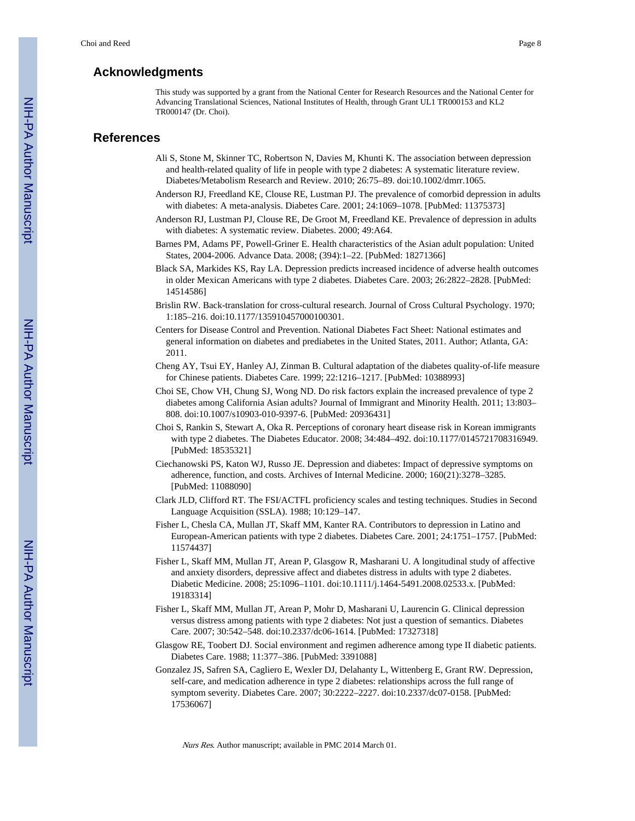## **Acknowledgments**

This study was supported by a grant from the National Center for Research Resources and the National Center for Advancing Translational Sciences, National Institutes of Health, through Grant UL1 TR000153 and KL2 TR000147 (Dr. Choi).

## **References**

- Ali S, Stone M, Skinner TC, Robertson N, Davies M, Khunti K. The association between depression and health-related quality of life in people with type 2 diabetes: A systematic literature review. Diabetes/Metabolism Research and Review. 2010; 26:75–89. doi:10.1002/dmrr.1065.
- Anderson RJ, Freedland KE, Clouse RE, Lustman PJ. The prevalence of comorbid depression in adults with diabetes: A meta-analysis. Diabetes Care. 2001; 24:1069–1078. [PubMed: 11375373]
- Anderson RJ, Lustman PJ, Clouse RE, De Groot M, Freedland KE. Prevalence of depression in adults with diabetes: A systematic review. Diabetes. 2000; 49:A64.
- Barnes PM, Adams PF, Powell-Griner E. Health characteristics of the Asian adult population: United States, 2004-2006. Advance Data. 2008; (394):1–22. [PubMed: 18271366]
- Black SA, Markides KS, Ray LA. Depression predicts increased incidence of adverse health outcomes in older Mexican Americans with type 2 diabetes. Diabetes Care. 2003; 26:2822–2828. [PubMed: 14514586]
- Brislin RW. Back-translation for cross-cultural research. Journal of Cross Cultural Psychology. 1970; 1:185–216. doi:10.1177/135910457000100301.
- Centers for Disease Control and Prevention. National Diabetes Fact Sheet: National estimates and general information on diabetes and prediabetes in the United States, 2011. Author; Atlanta, GA: 2011.
- Cheng AY, Tsui EY, Hanley AJ, Zinman B. Cultural adaptation of the diabetes quality-of-life measure for Chinese patients. Diabetes Care. 1999; 22:1216–1217. [PubMed: 10388993]
- Choi SE, Chow VH, Chung SJ, Wong ND. Do risk factors explain the increased prevalence of type 2 diabetes among California Asian adults? Journal of Immigrant and Minority Health. 2011; 13:803– 808. doi:10.1007/s10903-010-9397-6. [PubMed: 20936431]
- Choi S, Rankin S, Stewart A, Oka R. Perceptions of coronary heart disease risk in Korean immigrants with type 2 diabetes. The Diabetes Educator. 2008; 34:484–492. doi:10.1177/0145721708316949. [PubMed: 18535321]
- Ciechanowski PS, Katon WJ, Russo JE. Depression and diabetes: Impact of depressive symptoms on adherence, function, and costs. Archives of Internal Medicine. 2000; 160(21):3278–3285. [PubMed: 11088090]
- Clark JLD, Clifford RT. The FSI/ACTFL proficiency scales and testing techniques. Studies in Second Language Acquisition (SSLA). 1988; 10:129–147.
- Fisher L, Chesla CA, Mullan JT, Skaff MM, Kanter RA. Contributors to depression in Latino and European-American patients with type 2 diabetes. Diabetes Care. 2001; 24:1751–1757. [PubMed: 11574437]
- Fisher L, Skaff MM, Mullan JT, Arean P, Glasgow R, Masharani U. A longitudinal study of affective and anxiety disorders, depressive affect and diabetes distress in adults with type 2 diabetes. Diabetic Medicine. 2008; 25:1096–1101. doi:10.1111/j.1464-5491.2008.02533.x. [PubMed: 19183314]
- Fisher L, Skaff MM, Mullan JT, Arean P, Mohr D, Masharani U, Laurencin G. Clinical depression versus distress among patients with type 2 diabetes: Not just a question of semantics. Diabetes Care. 2007; 30:542–548. doi:10.2337/dc06-1614. [PubMed: 17327318]
- Glasgow RE, Toobert DJ. Social environment and regimen adherence among type II diabetic patients. Diabetes Care. 1988; 11:377–386. [PubMed: 3391088]
- Gonzalez JS, Safren SA, Cagliero E, Wexler DJ, Delahanty L, Wittenberg E, Grant RW. Depression, self-care, and medication adherence in type 2 diabetes: relationships across the full range of symptom severity. Diabetes Care. 2007; 30:2222–2227. doi:10.2337/dc07-0158. [PubMed: 17536067]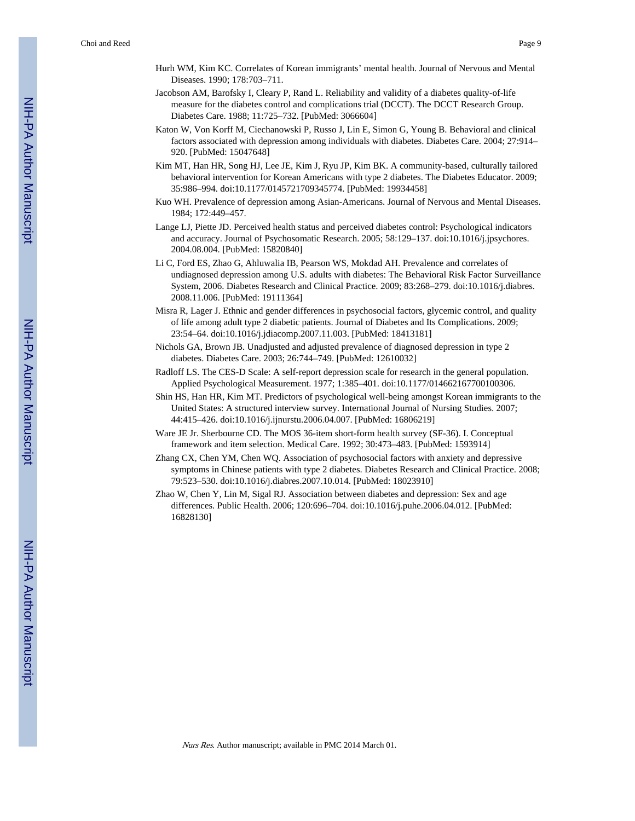- Hurh WM, Kim KC. Correlates of Korean immigrants' mental health. Journal of Nervous and Mental Diseases. 1990; 178:703–711.
- Jacobson AM, Barofsky I, Cleary P, Rand L. Reliability and validity of a diabetes quality-of-life measure for the diabetes control and complications trial (DCCT). The DCCT Research Group. Diabetes Care. 1988; 11:725–732. [PubMed: 3066604]
- Katon W, Von Korff M, Ciechanowski P, Russo J, Lin E, Simon G, Young B. Behavioral and clinical factors associated with depression among individuals with diabetes. Diabetes Care. 2004; 27:914– 920. [PubMed: 15047648]
- Kim MT, Han HR, Song HJ, Lee JE, Kim J, Ryu JP, Kim BK. A community-based, culturally tailored behavioral intervention for Korean Americans with type 2 diabetes. The Diabetes Educator. 2009; 35:986–994. doi:10.1177/0145721709345774. [PubMed: 19934458]
- Kuo WH. Prevalence of depression among Asian-Americans. Journal of Nervous and Mental Diseases. 1984; 172:449–457.
- Lange LJ, Piette JD. Perceived health status and perceived diabetes control: Psychological indicators and accuracy. Journal of Psychosomatic Research. 2005; 58:129–137. doi:10.1016/j.jpsychores. 2004.08.004. [PubMed: 15820840]
- Li C, Ford ES, Zhao G, Ahluwalia IB, Pearson WS, Mokdad AH. Prevalence and correlates of undiagnosed depression among U.S. adults with diabetes: The Behavioral Risk Factor Surveillance System, 2006. Diabetes Research and Clinical Practice. 2009; 83:268–279. doi:10.1016/j.diabres. 2008.11.006. [PubMed: 19111364]
- Misra R, Lager J. Ethnic and gender differences in psychosocial factors, glycemic control, and quality of life among adult type 2 diabetic patients. Journal of Diabetes and Its Complications. 2009; 23:54–64. doi:10.1016/j.jdiacomp.2007.11.003. [PubMed: 18413181]
- Nichols GA, Brown JB. Unadjusted and adjusted prevalence of diagnosed depression in type 2 diabetes. Diabetes Care. 2003; 26:744–749. [PubMed: 12610032]
- Radloff LS. The CES-D Scale: A self-report depression scale for research in the general population. Applied Psychological Measurement. 1977; 1:385–401. doi:10.1177/014662167700100306.
- Shin HS, Han HR, Kim MT. Predictors of psychological well-being amongst Korean immigrants to the United States: A structured interview survey. International Journal of Nursing Studies. 2007; 44:415–426. doi:10.1016/j.ijnurstu.2006.04.007. [PubMed: 16806219]
- Ware JE Jr. Sherbourne CD. The MOS 36-item short-form health survey (SF-36). I. Conceptual framework and item selection. Medical Care. 1992; 30:473–483. [PubMed: 1593914]
- Zhang CX, Chen YM, Chen WQ. Association of psychosocial factors with anxiety and depressive symptoms in Chinese patients with type 2 diabetes. Diabetes Research and Clinical Practice. 2008; 79:523–530. doi:10.1016/j.diabres.2007.10.014. [PubMed: 18023910]
- Zhao W, Chen Y, Lin M, Sigal RJ. Association between diabetes and depression: Sex and age differences. Public Health. 2006; 120:696–704. doi:10.1016/j.puhe.2006.04.012. [PubMed: 16828130]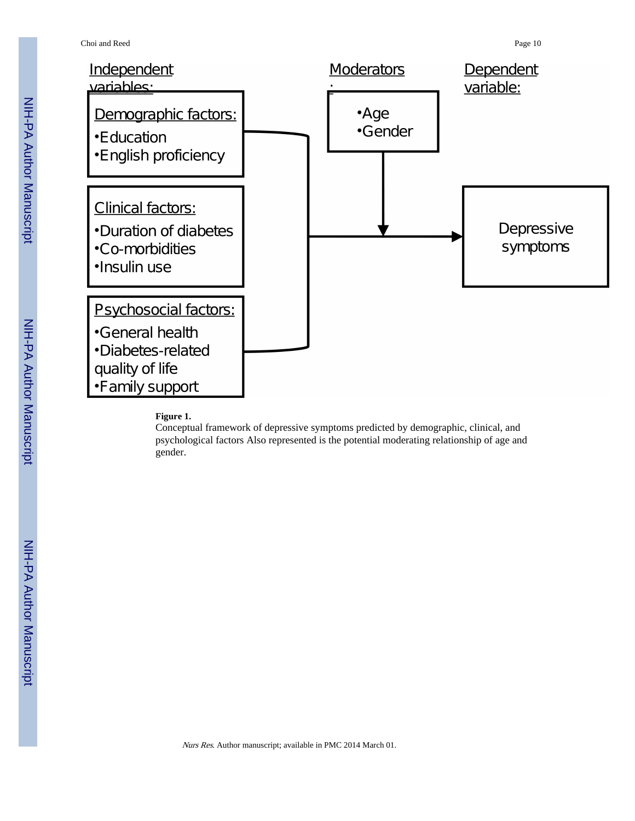

#### **Figure 1.**

Conceptual framework of depressive symptoms predicted by demographic, clinical, and psychological factors Also represented is the potential moderating relationship of age and gender.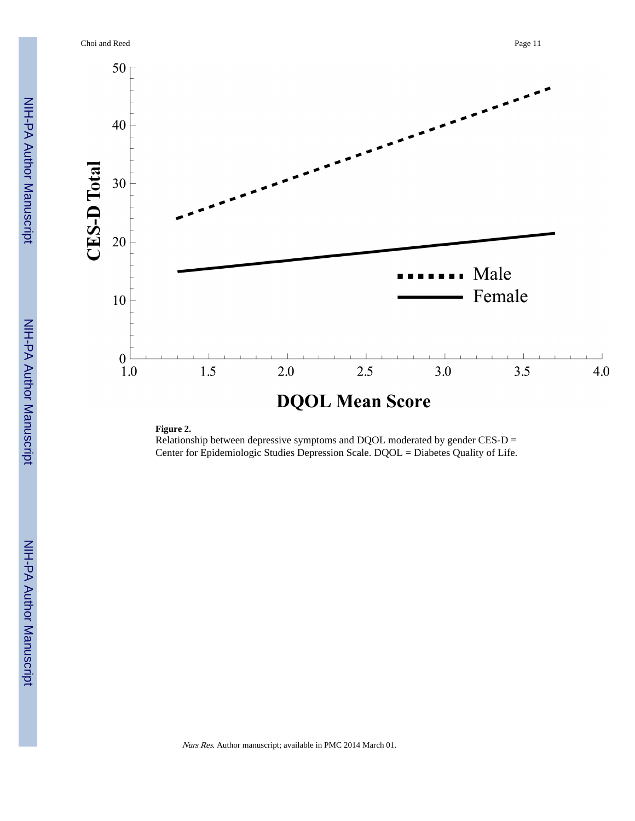Choi and Reed Page 11



## **Figure 2.**

Relationship between depressive symptoms and DQOL moderated by gender CES-D = Center for Epidemiologic Studies Depression Scale. DQOL = Diabetes Quality of Life.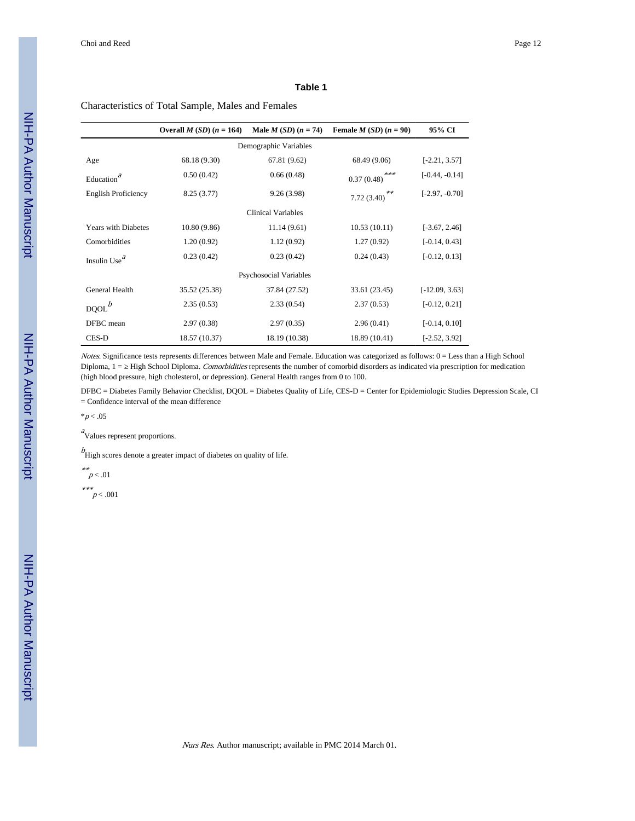#### **Table 1**

#### Characteristics of Total Sample, Males and Females

|                               | Overall $M(SD)$ ( $n = 164$ ) | Male $M(SD)$ $(n = 74)$ | Female $M(SD)$ $(n = 90)$ | 95% CI           |  |  |  |
|-------------------------------|-------------------------------|-------------------------|---------------------------|------------------|--|--|--|
| Demographic Variables         |                               |                         |                           |                  |  |  |  |
| Age                           | 68.18 (9.30)                  | 67.81 (9.62)            | 68.49 (9.06)              | $[-2.21, 3.57]$  |  |  |  |
| a<br>Education <sup>'</sup>   | 0.50(0.42)                    | 0.66(0.48)              | ***<br>0.37(0.48)         | $[-0.44, -0.14]$ |  |  |  |
| <b>English Proficiency</b>    | 8.25(3.77)                    | 9.26(3.98)              | **<br>7.72(3.40)          | $[-2.97, -0.70]$ |  |  |  |
| Clinical Variables            |                               |                         |                           |                  |  |  |  |
| <b>Years with Diabetes</b>    | 10.80(9.86)                   | 11.14(9.61)             | 10.53(10.11)              | $[-3.67, 2.46]$  |  |  |  |
| Comorbidities                 | 1.20(0.92)                    | 1.12(0.92)              | 1.27(0.92)                | $[-0.14, 0.43]$  |  |  |  |
| Insulin Use <sup>a</sup>      | 0.23(0.42)                    | 0.23(0.42)              | 0.24(0.43)                | $[-0.12, 0.13]$  |  |  |  |
| <b>Psychosocial Variables</b> |                               |                         |                           |                  |  |  |  |
| General Health                | 35.52 (25.38)                 | 37.84 (27.52)           | 33.61 (23.45)             | $[-12.09, 3.63]$ |  |  |  |
| $DQOL^b$                      | 2.35(0.53)                    | 2.33(0.54)              | 2.37(0.53)                | $[-0.12, 0.21]$  |  |  |  |
| DFBC mean                     | 2.97(0.38)                    | 2.97(0.35)              | 2.96(0.41)                | $[-0.14, 0.10]$  |  |  |  |
| CES-D                         | 18.57 (10.37)                 | 18.19 (10.38)           | 18.89 (10.41)             | $[-2.52, 3.92]$  |  |  |  |

Notes. Significance tests represents differences between Male and Female. Education was categorized as follows: 0 = Less than a High School Diploma, 1 = High School Diploma. Comorbidities represents the number of comorbid disorders as indicated via prescription for medication (high blood pressure, high cholesterol, or depression). General Health ranges from 0 to 100.

DFBC = Diabetes Family Behavior Checklist, DQOL = Diabetes Quality of Life, CES-D = Center for Epidemiologic Studies Depression Scale, CI = Confidence interval of the mean difference

 $*p < .05$ 

<sup>a</sup>Values represent proportions.

 $b$ <br>High scores denote a greater impact of diabetes on quality of life.

\*\* $p < .01$ 

\*\*\* $p < .001$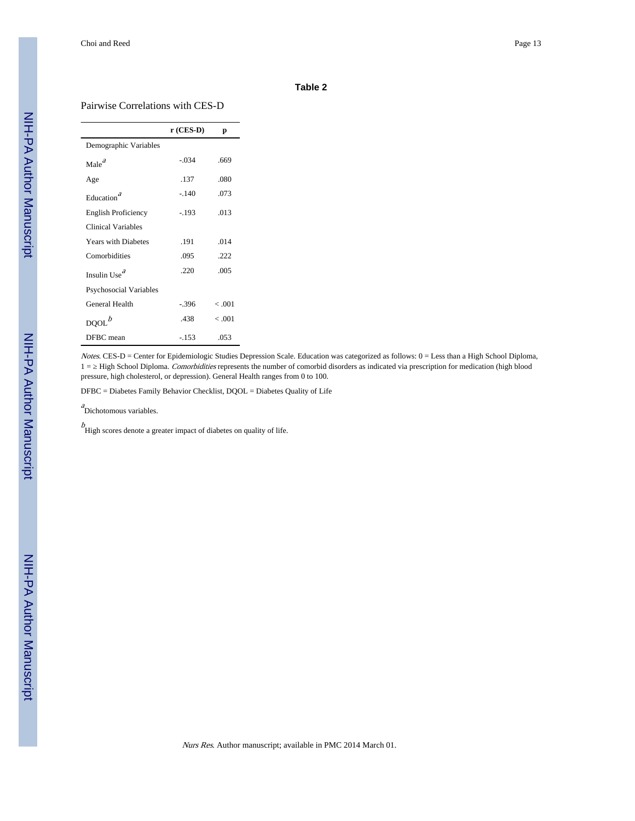#### **Table 2**

#### Pairwise Correlations with CES-D

|                               | $r$ (CES-D) | р       |
|-------------------------------|-------------|---------|
| Demographic Variables         |             |         |
| $\text{Male}^d$               | $-.034$     | .669    |
| Age                           | .137        | .080    |
| Education <sup>a</sup>        | $-.140$     | .073    |
| <b>English Proficiency</b>    | $-.193$     | .013    |
| Clinical Variables            |             |         |
| <b>Years with Diabetes</b>    | .191        | .014    |
| Comorbidities                 | .095        | 222     |
| Insulin Use $^a$              | .220        | .005    |
| <b>Psychosocial Variables</b> |             |         |
| General Health                | $-.396$     | $-.001$ |
| DQOL <sup>b</sup>             | .438        | $-.001$ |
| DFBC mean                     | $-153$      | .053    |

Notes. CES-D = Center for Epidemiologic Studies Depression Scale. Education was categorized as follows: 0 = Less than a High School Diploma, 1 = High School Diploma. Comorbidities represents the number of comorbid disorders as indicated via prescription for medication (high blood pressure, high cholesterol, or depression). General Health ranges from 0 to 100.

DFBC = Diabetes Family Behavior Checklist, DQOL = Diabetes Quality of Life

a<br>Dichotomous variables.

 $b$ <br>High scores denote a greater impact of diabetes on quality of life.